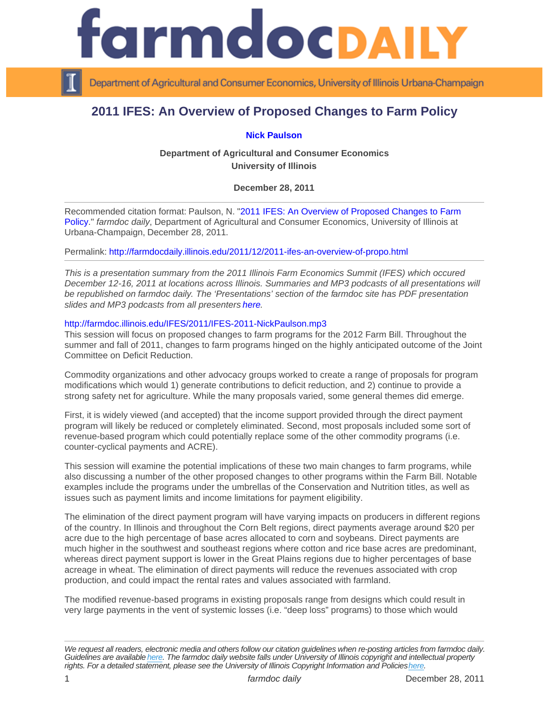## 2011 IFES: An Overview of Proposed Changes to Farm Policy

[Nick Paulson](http://www.farmdoc.illinois.edu/paulson/)

Department of Agricultural and Consumer Economics University of Illinois

December 28, 2011

Recommended citation format: Paulson, N. ["2011 IFES: An Overview of Proposed Changes to Farm](http://farmdocdaily.illinois.edu/2011/12/2011-ifes-an-overview-of-propo.html)  [Policy.](http://farmdocdaily.illinois.edu/2011/12/2011-ifes-an-overview-of-propo.html)" farmdoc daily, Department of Agricultural and Consumer Economics, University of Illinois at Urbana-Champaign, December 28, 2011.

Permalink:<http://farmdocdaily.illinois.edu/2011/12/2011-ifes-an-overview-of-propo.html>

This is a presentation summary from the 2011 Illinois Farm Economics Summit (IFES) which occured December 12-16, 2011 at locations across Illinois. Summaries and MP3 podcasts of all presentations will be republished on farmdoc daily. The 'Presentations' section of the farmdoc site has PDF presentation slides and MP3 podcasts from all presenters [here.](http://www.farmdoc.illinois.edu/presentations/IFES_2011/index.html)

## <http://farmdoc.illinois.edu/IFES/2011/IFES-2011-NickPaulson.mp3>

This session will focus on proposed changes to farm programs for the 2012 Farm Bill. Throughout the summer and fall of 2011, changes to farm programs hinged on the highly anticipated outcome of the Joint Committee on Deficit Reduction.

Commodity organizations and other advocacy groups worked to create a range of proposals for program modifications which would 1) generate contributions to deficit reduction, and 2) continue to provide a strong safety net for agriculture. While the many proposals varied, some general themes did emerge.

First, it is widely viewed (and accepted) that the income support provided through the direct payment program will likely be reduced or completely eliminated. Second, most proposals included some sort of revenue-based program which could potentially replace some of the other commodity programs (i.e. counter-cyclical payments and ACRE).

This session will examine the potential implications of these two main changes to farm programs, while also discussing a number of the other proposed changes to other programs within the Farm Bill. Notable examples include the programs under the umbrellas of the Conservation and Nutrition titles, as well as issues such as payment limits and income limitations for payment eligibility.

The elimination of the direct payment program will have varying impacts on producers in different regions of the country. In Illinois and throughout the Corn Belt regions, direct payments average around \$20 per acre due to the high percentage of base acres allocated to corn and soybeans. Direct payments are much higher in the southwest and southeast regions where cotton and rice base acres are predominant, whereas direct payment support is lower in the Great Plains regions due to higher percentages of base acreage in wheat. The elimination of direct payments will reduce the revenues associated with crop production, and could impact the rental rates and values associated with farmland.

The modified revenue-based programs in existing proposals range from designs which could result in very large payments in the vent of systemic losses (i.e. "deep loss" programs) to those which would

We request all readers, electronic media and others follow our citation guidelines when re-posting articles from farmdoc daily. Guidelines are available [here](http://farmdocdaily.illinois.edu/citationguide.html). The farmdoc daily website falls under University of Illinois copyright and intellectual property rights. For a detailed statement, please see the University of Illinois Copyright Information and Policies [here.](https://techservices.illinois.edu/office-cio)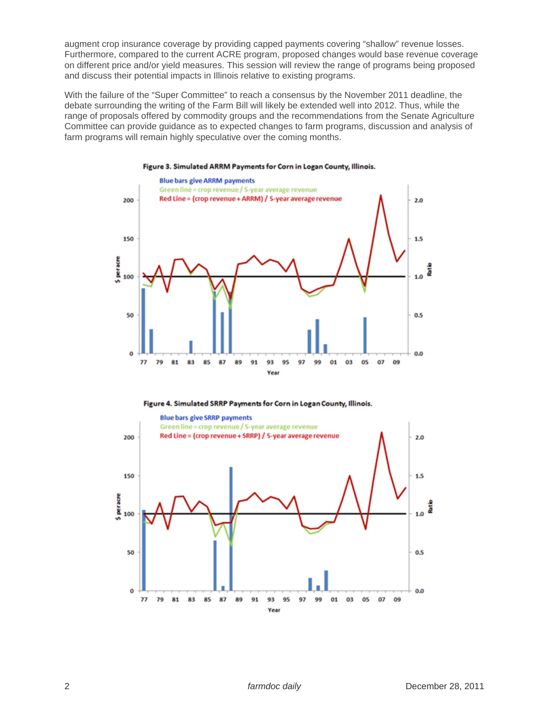augment crop insurance coverage by providing capped payments covering "shallow" revenue losses. Furthermore, compared to the current ACRE program, proposed changes would base revenue coverage on different price and/or yield measures. This session will review the range of programs being proposed and discuss their potential impacts in Illinois relative to existing programs.

With the failure of the "Super Committee" to reach a consensus by the November 2011 deadline, the debate surrounding the writing of the Farm Bill will likely be extended well into 2012. Thus, while the range of proposals offered by commodity groups and the recommendations from the Senate Agriculture Committee can provide guidance as to expected changes to farm programs, discussion and analysis of farm programs will remain highly speculative over the coming months.